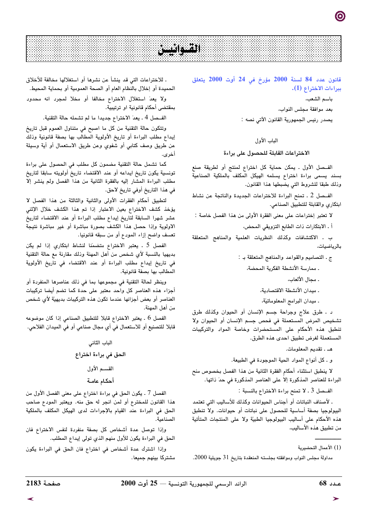# **Participant**

# قانون عدد 84 لسنة 2000 مؤرخ فى 24 أوت 2000 يتعلق ببراءات الاختراع (1).

باسم الشعب،

بعد موافقة مجلس النواب،

يصدر رئيس الجمهورية القانون الآتي نصه :

## الباب الأول

الاختراعات القابلة للحصول على براءة

الفـصل الأول . يمكن حماية كل اختراع لمنتج أو لطريقة صنع بسند يسمى براءة اختراع يسلمه الهيكل المكلف بالملكية الصناعية وذلك طبقا للشروط التي يضبطها هذا القانون.

الفـصل 2 ـ تمنح البراءة للاختراعات الجديدة والناتجة عن نشاط ابتكاري والقابلة للتطبيق الصناعي.

لا تعتبر إختراعات على معنى الفقرة الأولى من هذا الفصل خاصة :

أ ـ الابتكارات ذات الطابع التزويقي المحض،

ب . الاكتشافات وكذلك النظريات العلمية والمناهج المتعلقة بالرياضيات،

ج ـ التصاميم والقواعد والمناهج المتعلقة بـ :

. ممارسة الأنشطة الفكرية المحضة،

. مجال الألعاب،

. ميدان الأنشطة الاقتصادية،

ـ ميدان البرامج المعلوماتيّة،

د . طرق علاج وجراحة جسم الإنسان أو الحيوان وكذلك طرق تشخيص المرض المستعملة في فحص جسم الإنسان أو الحيوان ولا تنطبق هذه الأحكام على المستحضرات وخاصة المواد والتركيبات المستعملة لغرض تطبيق احدى هذه الطرق.

هـ . تقديم المعلومات.

و . كل أنواع المواد الحية الموجودة في الطبيعة.

لا ينطبق استثناء أحكام الفقرة الثانية من هذا الفصل بخصوص منح البراءة للعناصر المذكورة إلا على العناصر المذكورة في حدّ ذاتها.

الفــصل 3 ـ لا تمنح براءة الاختراع بالنسبة :

. لأصناف النباتات أو أجناس الحيوانات وكذلك للأساليب التي تعتمد البيولوجيا بصفة أساسية للحصول على نباتات أو حيوانات. ولا تنطبق هذه الأحكام على أساليب البيولوجيا الطبيّة ولا على المنتجات المتأتية من تطبيق هذه الأساليب،

مداولة مجلس النواب وموافقته بجلسته المنعقدة بتاريخ 31 جويلية 2000.

. للاختراعات التي قد ينشأ عن نشرها أو استغلالها مخالفة للأخلاق الحميدة أو إخلال بالنظام العام أو الصحة العمومية أو بحماية المحيط.

ولا يعدّ استغلال الاختراع مخالفا أو مخلا لمجرد انه محدود بمقتضى أحكام قانونية او ترتيبية.

الفــصل 4 ـ يعدّ الاختراع جديدا ما لم تشمله حالة التقنية.

وتتكون حالة التقنية من كل ما اصبح في متناول العموم قبل تاريخ إيداع مطلب البراءة أو تاريخ الأولوية المطالب بها بصفة قانونية وذلك عن طريق وصف كتابي أو شفوي وعن طريق الاستعمال أو أية وسيلة أخرى

كما تشمل حالة التقنية مضمون كل مطلب في الحصول على براءة تونسية يكون تاريخ ايداعه أو عند الاقتضاء تاريخ أولويته سابقا لتاريخ مطلب البراءة المشار إليه بالفقرة الثانية من هذا الفصل ولم ينشر إلا في هذا التاريخ أوفي تاريخ لاحق.

لتطبيق أحكام الفقرات الأولى والثانية والثالثة من هذا الفصل لا يؤخذ كشف الاختراع بعين الاعتبار إذا تم هذا الكشف خلال الإثنى عشر شهرا السابقة لتاريخ إيداع مطلب البراءة أو عند الاقتضاء لتاريخ الاولوية وإذا حصل هذا الكشف بصورة مباشرة أو غير مباشرة نتيجة تعسف واضح إزاء المودع أو من سبقه قانونيا.

الفصل 5 . يعتبر الاختراع متضمّنا لنشاط ابتكاري إذا لم يكن بديهيا بالنسبة لأى شخص من أهل المهنة وذلك مقارنة مع حالة التقنية في تاريخ إيداع مطلب البراءة أو عند الاقتضاء في تاريخ الأولوية المطالب بها بصفة قانونية.

وينظر لحالة التقنية في مجموعها بما في ذلك عناصرها المنفردة أو أجزاء هذه العناصر كل واحد معتبر على حدة كما تضم أيضا تركيبات العناصر أو بعض أجزائها عندما تكون هذه التركيبات بديهيّة لأى شخص من أهل المهنة.

الفصل 6 ـ يعتبر الاختراع قابلا للتطبيق الصناعي إذا كان موضوعه قابلا للتصنيع أو للاستعمال في أي مجال صناعي أو في الميدان الفلاحي.

# الباب الثانى الحق في براءة اختراع القسم الأول أحكام عامة

الفصل 7 ـ يكون الحق في براءة اختراع على معنى الفصل الأول من هذا القانون للمخترع أو لمن انجر له حق منه. ويعتبر المودع صاحب الحق في البراءة عند القيام بالإجراءات لدى الهيكل المكلف بالملكية الصناعية.

وإذا توصل عدة أشخاص كل بصفة منفردة لنفس الاختراع فان الحق في البراءة يكون للأول منهم الذي تولى إيداع المطلب.

وإذا اشترك عدة أشخاص فى اختراع فان الحق فى البراءة يكون مشتركا بينهم جميعا.

<sup>(1)</sup> الأعمال التحضيرية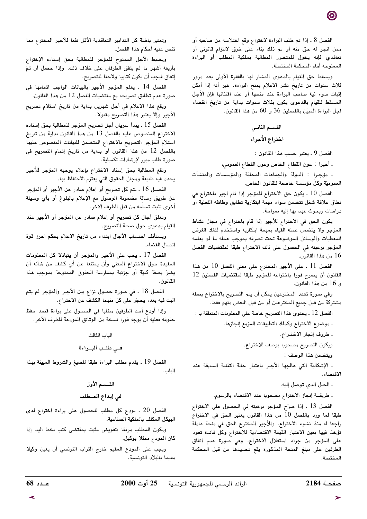الفصل 8 . إذا تم طلب البراءة لاختراع وقع اختلاسه من صاحبه أو ممن انجر له حق منه أو تم ذلك بناء على خرق لالتزام قانونى أو تعاقدي فإنه يخول للمتضرر المطالبة بملكية المطلب أو البراءة الممنوحة أمام المحكمة المختصّة.

ويسقط حق القيام بالدعوى المشار لها بالفقرة الأولى بعد مرور ثلاث سنوات من تاريخ نشر الاعلام بمنح البراءة. غير أنه إذا أمكن إثبات سوء نية صاحب البراءة عند منحها أو عند اقتنائها فإن الأجل المسقط للقيام بالدعوى يكون بثلاث سنوات بداية من تاريخ انقضاء اجل البراءة المبيّن بالفصلين 36 و 60 من هذا القانون.

الفصل 9 ـ يعتبر حسب هذا القانون :

. أجيرا : عون القطاع الخاص وعون القطاع العمومي،

. مؤجرا : الدولة والجماعات المحليّة والمؤسسات والمنشآت العموميّة وكل مؤسسة خاضعة للقانون الخاص.

الفصل 10 . يكون حق الاختراع للمؤجر إذا قام اجير باختراع في نطاق علاقة شغل تتضمن سواء مهمة ابتكارية تطابق وظائفه الفعلية او دراسات وبحوث عهد بها إليه صراحة.

يكون الحق في الاختراع للأجير إذا قام باختراع في مجال نشاط المؤجر ولا يتضمن عمله القيام بمهمة ابتكارية واستخدم لذلك الغرض المعطيات والوسائل الموضوعة تحت تصرفه بموجب عمله ما لم يعلمه المؤجر برغبته في الحصول على ذلك الاختراع طبقا لمقتضيات الفصل 16 من هذا القانون.

الفصل 11 . على الأجير المخترع على معنى الفصل 10 من هذا القانون أن يصرح فورا باختراعه للمؤجر طبقا لمقتضيات الفصلين 12 و 16 من هذا القانون.

وفي صورة تعدد المخترعين يمكن أن يتم التصريح بالاختراع بصفة مشتركة من قبل جميع المخترعين أو من قبل البعض منهم فقط.

الفصل 12 . يحتوي هذا التصريح خاصة على المعلومات المتعلقة بـ :

. موضوع الاختراع وكذلك التطبيقات المزمع إنجازها.

. ظروف إنجاز الاختراع.

ويكون التصريح مصحوبا بوصف للاختراع.

ويتضمن هذا الوصف :

. الإشكالية التي عالجها الأجير باعتبار حالة التقنية السابقة عند الاقتضاء.

. الحـل الذي توصل إليه.

ـ طريقــة إنجاز الاختراع مصحوبا عند الاقتضاء بالرسوم.

الفصل 13 . إذا صرّح المؤجر برغبته في الحصول على الاختراع طبقا لما ورد بالفصل 10 من هذا القانون يعتبر الحق فى الاختراع راجعا له منذ نشوء الاختراع. وللأجير المخترع الحق في منحة عادلة تؤخذ فيها بعين الاعتبار القيمة الاقتصادية للاختراع وكل فائدة تعود على المؤجر من جراء استغلال الاختراع. وفى صورة عدم اتفاق الطرفين على مبلغ المنحة المذكورة يقع تحديدها من قبل المحكمة المختصية

وتعتبر باطلة كل التدابير التعاقدية الأقل نفعا للأجير المخترع مما تنص عليه أحكام هذا الفصل.

ويضبط الأجل الممنوح للمؤجر للمطالبة بحق إسناده الإختراع بأربعة أشهر ما لم يتفق الطرفان على خلاف ذلك. وإذا حصل أن تمّ إتفاق فيجب أن يكون كتابيا ولاحقا للتصريح.

الفصل 14 . يعلم المؤجر الأجير بالبيانات الواجب اتمامها في صورة عدم تطابق تصريحه مع مقتضيات الفصل 12 من هذا القانون.

ويقع هذا الاعلام في أجل شهرين بداية من تاريخ استلام تصريح الأجير وإلا يعتبر هذا التصريح مقبولا.

الفصل 15 . يبدأ سريان أجل تصريح المؤجر للمطالبة بحق إسناده الاختراع المنصوص عليه بالفصل 13 من هذا القانون بداية من تاريخ استلام المؤجر التصريح بالاختراع المتضمن للبيانات المنصوص عليها بالفصل 12 من هذا القانون أو بداية من تاريخ إتمام التصريح في صورة طلب مبرر لإرشادات تكميلية.

وتقع المطالبة بحق إسناد الاختراع بإعلام يوجهه المؤجر للأجير يحدد فيه طبيعة ومجال الحقوق التي يعتزم الاحتفاظ بها.

الفصــل 16 . يتم كل تصريح أو إعلام صادر عن الأجير أو المؤجر عن طريق رسالة مضمونة الوصول مع الإعلام بالبلوغ أو بأي وسيلة أخرى تثبت تسلّمه من قبل الطرف الآخر.

وتعلق أجال كل تصريح أو إعلام صادر عن المؤجر أو الأجير عند القيام بدعوى حول صحة التصريح.

ويستأنف احتساب الأجال ابتداء من تاريخ الاعلام بحكم احرز قوة اتصال القضاء.

الفصل 17 ـ يجب على الأجير والمؤجر أن يتبادلا كل المعلومات المفيدة حول الاختراع المعنى وأن يمتنعا عن أي كشف من شأنه أن يضرَ بصفة كليّة أو جزئية بممارسة الحقوق الممنوحة بموجب هذا القانون.

الفصل 18 ۔ في صورة حصول نزاع بين الأجير والمؤجر لم يتم البت فيه بعد، يحجّر على كل منهما الكشف عن الاختراع.

وإذا أودع أحد الطرفين مطلبا فى الحصول على براءة قصد حفظ حقوقه فعليه أن يوجه فورا نسخة من الوثائق المودعة للطرف الآخر.

الياب الثالث

فى طلب البواءة

الفصل 19 . يقدم مطلب البراءة طبقا للصيغ والشروط المبينة بهذا الباب.

> القسسم الأول في إيداع المــطلب

الفصل 20 . يودع كل مطلب للحصول على براءة اختراع لدى الهيكل المكلف بالملكية الصناعية.

ويكون المطلب مرفقا بتفويض مثبت بمقتضى كتب بخط اليد إذا كان المودع ممثلا بوكيل.

ويجب على المودع المقيم خارج التراب التونسي أن يعين وكيلا مقيما بالبلاد التونسية.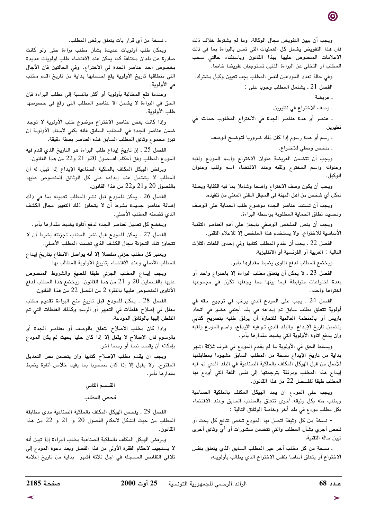ويجب أن يبين التفويض مجال الوكالة. وما لم يشترط خلاف ذلك فان هذا التفويض يشمل كل العمليات التي تمس بالبراءة بما في ذلك الاعلامات المنصوص عليها بهذا القانون وباستثناء حالتي سحب المطلب أو التخلي عن البراءة اللتين تستوجبان تفويضا خاصا.

وفي حالة تعدد المودعين لنفس المطلب يجب تعيين وكيل مشترك.

الفصل 21 ـ يشتمل المطلب وجوبا على :

. عريضة

. وصف للاختراع في نظيرين

. عنصر أو عدة عناصر الجدة في الاختراع المطلوب حمايته في نظيرين

. رسم أو عدة رسوم إذا كان ذلك ضروريا لتوضيح الوصف

. ملخص وصفي للاختراع.

ويجب أن تتضمن العريضة عنوان الاختراع واسم المودع ولقبه وعنوانه واسم المخترع ولقبه وعند الاقتضاء اسم ولقب وعنوان الوكيل.

ويجب أن يكون وصف الاختراع واضحا وشاملا بما فيه الكفاية وبصفة تمكن أي شخص من أهل المهنة في المجال التقني المعنى من تنفيذه.

ويجب أن تستند عناصر الجدة موضوع طلب الحماية على الوصف وتحديد نطاق الحماية المطلوبة بواسطة البراءة.

ويجب أن ينص الملخص الوصفى بايجاز على أهم العناصر التقنية الأساسية للاختراع. ولا يستخدم هذا الملخص إلا للإعلام التقني.

الفصل 22 ـ يجب أن يقدم المطلب كتابيا وفي إحدى اللغات الثلاث التالية : العربية أو الفرنسية أو الانقليزية.

ويخضع المطلب لدفع اتاوى يضبط مقدارها بأمر.

الفصل 23 ـ لا يمكن أن يتعلق مطلب البراءة إلا باختراع واحد أو بعدة اختراعات مترابطة فيما بينها مما يجعلها تكوّن فى مجموعها اختراعا وإحدا.

الفصل 24 . يجب على المودع الذي يرغب في ترجيح حقه في أولوية تتعلق بطلب سابق تم إيداعه في بلد أجنبي عضو في اتحاد باريس أو بالمنظمة العالمية للتجارة أن يرفق طلبه بتصريح كتابي يتضمن تاريخ الإيداع، والبلد الذي تم فيه الإيداع، واسم المودع ولقبه وان يدفع اتاوة الأولوية التي يضبط مقدارها بأمر.

ويسقط الحق في الأولوية ما لم يقدم المودع في ظرف ثلاثة اشهر بداية من تاريخ الإيداع نسخة من المطلب السابق مشهودا بمطابقتها للأصل من قبل الهيكل المكلف بالملكية الصناعية في البلد الذي تم فيه إيداع هذا المطلب ومرفقة بترجمتها إلى نفس اللغة التي أودع بها المطلب طبقا للفحسل 22 من هذا القانون.

ويجب على المودع ان يمد الهيكل المكلف بالملكية الصناعية وبطلب منه بكل وثيقة أخرى تتعلق بالمطلب السابق وعند الاقتضاء بكل مطلب مودع في بلد أخر وخاصة الوثائق التالية :

- نسخة من كل وثيقة اتصل بها المودع تخص نتائج كل بحث أو فحص أجري بشأن المطلب والتي تتضمن منشورات أو أي وثائق أخرى تبين حالة التقنية،

. نسخة من كل مطلب آخر غير المطلب السابق الذي يتعلق بنفس الاختراع أو يتعلَّق أساسا بنفس الاختراع الذي يطالب بأولويته،

. نسخة من أي قرار بات يتعلق برفض المطلب.

ويمكن طلب أولويات عديدة بشأن مطلب براءة حتى ولو كانت صادرة عن بلدان مختلفة كما يمكن عند الاقتضاء طلب اولويات عديدة بخصوص احد عناصر الجدة في الاختراع. وفي الحالتين فان الأجال التي منطلقها تاريخ الأولوية يقع احتسابها بداية من تاريخ اقدم مطلب في الأولوية.

وعندما تقع المطالبة بأولوية أو أكثر بالنسبة إلى مطلب البراءة فإن الحق في البراءة لا يشمل الا عناصر المطلب التي وقع في خصوصها طلب الأولوية.

وإذا كانت بعض عناصر الاختراع موضوع طلب الأولوية لا توجد ضمن عناصر الجدة فى المطلب السابق فانه يكفى لإسناد الأولوية ان تبرز مجموع وثائق المطلب السابق هذه العناصر بصفة دقيقة.

الفصل 25 . إن تاريخ إيداع طلب البراءة هو التاريخ الذي قدّم فيه المودع المطلب وفق أحكام الفـــصول 20و 21 و22 من هذا القانون.

ويرفض الهيكل المكلف بالملكية الصناعية الإيداع إذا تبيّن له ان المطلب لا يشتمل عند إيداعه على كل الوثائق المنصوص عليها بالفصول 20 و21 و22 من هذا القانون.

الفصل 26 ـ يمكن للمودع قبل نشر المطلب تعديله بما فى ذلك إضافة عناصر جديدة بشرط أن لا يتجاوز ذلك التغيير مجال الكشف الذي تضمنه المطلب الأصلي.

ويخضع كل تعديل لعناصر الجدة لدفع أتاوة يضبط مقدارها بأمر.

الفصل 27 ـ يمكن للمودع قبل نشر المطلب تجزئته بشرط أن لا تتجاوز تلك التجزئة مجال الكشف الذي تضمنه المطلب الأصلي.

ويعتبر كل مطلب جزئي منفصلا إلا أنه يواصل الانتفاع بتاريخ إيداع المطلب الأصلي وعند الاقتضاء بتاريخ الأولوية المطالب بها.

ويجب إيداع المطلب الجزئي طبقا للصيغ والشروط المنصوص عليها بالفـصلين 20 و 21 من هذا القانون. ويخضع هذا المطلب لدفع الأتاوى المنصوص عليها بالفقرة 2 من الفصل 22 من هذا القانون.

الفصل 28 . يمكن للمودع قبل تاريخ منح البراءة تقديم مطلب معلل في إصلاح غلطات في التعبير أو الرسم وكذلك الغلطات التي تم التفطن إليها بالوثائق المودعة.

واذا كان مطلب الإصلاح يتعلق بالوصف أو بعناصر الجدة أو بالرسوم فان الإصلاح لا يقبل إلا إذا كان جليا بحيث لم يكن المودع بإمكانه أن يقصد نصا أو رسما آخر.

ويجب ان يقدم مطلب الإصلاح كتابيا وان يتضمن نص التعديل المقترح. ولا يقبل إلا إذا كان مصحوبا بما يفيد خلاص أتاوة يضبط مقدارها بأمر .

# القسسم الثاني فحص المطلب

الفصل 29 ـ يفحص الهيكل المكلف بالملكية الصناعية مدى مطابقة المطلب من حيث الشكل لاحكام الفصول 20 و 21 و 22 من هذا القانون.

ويرفض الهيكل المكلف بالملكية الصناعية مطلب البراءة إذا تبين أنه لا يستجيب لاحكام الفقرة الأولى من هذا الفصل وبعد دعوة المودع إلى تلافي النقائص المسجلة في اجل ثلاثة أشهر بداية من تاريخ إعلامه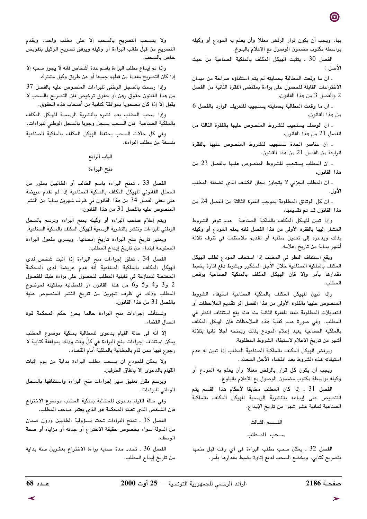بها. ويجب أن يكون قرار الرفض معللا وأن يعلم به المودع أو وكيله بواسطة مكتوب مضمون الوصول مع الإعلام بالبلوغ.

الفصل 30 . يتثبت الهيكل المكلف بالملكية الصناعية من حيث الأصل :

. ان ما وقعت المطالبة بحمايته لم يتم استثناؤه صراحة من ميدان الاختراعات القابلة للحصول على براءة بمقتضى الفقرة الثانية من الفصل 2 والفصل 3 من هذا القانون،

. ان ما وقعت المطالبة بحمايته يستجيب للتعريف الوارد بالفصل 6 من هذا القانون،

. ان الوصف يستجيب للشروط المنصوص عليها بالفقرة الثالثة من الفصل 21 من هذا القانون،

. ان عناصر الجدة تستجيب للشروط المنصوص عليها بالفقرة الرابعة من الفصل 21 من هذا القانون،

. ان المطلب يستجيب للشروط المنصوص عليها بالفصل 23 من هذا القانون،

. ان المطلب الجزئي لا يتجاوز مجال الكشف الذي تضمنه المطلب الأول،

. ان كل الوثائق المطلوبة بموجب الفقرة الثالثة من الفصل 24 من هذا القانون قد تم تقديمها،

وإذا تبين للهيكل المكلف بالملكية الصناعية عدم توفر الشروط المشار إليها بالفقرة الأولى من هذا الفصل فانه يعلم المودع أو وكيله بذلك ويدعوه إلى تعديل مطلبه أو تقديم ملاحظات في ظرف ثلاثة أشهر بداية من تاريخ إعلامه.

ويقع استئناف النظر فى المطلب إذا استجاب المودع لطلب الهيكل المكلف بالملكية الصناعية خلال الأجل المذكور وبشرط دفع اتاوة يضبط مقدارها بأمر وإلا فإن الهيكل المكلف بالملكية الصناعية يرفض المطلب.

وإذا تبين للهيكل المكلف بالملكية الصناعية استيفاء الشروط المنصوص عليها بالفقرة الأولى من هذا الفصل اثر تقديم الملاحظات أو التعديلات المطلوبة طبقا للفقرة الثانية منه فانه يقع استئناف النظر فى المطلب. وفي صورة عدم كفاية هذه الملاحظات فإن الهيكل المكلف بالملكية الصناعية يعيد إعلام المودع بذلك ويمنحه أجلا ثانيا بثلاثة أشهر من تاريخ الاعلام لاستيفاء الشروط المطلوبة.

ويرفض الهيكل المكلف بالملكية الصناعية المطلب إذا تبين له عدم استيفائه هذه الشروط بعد انقضاء الأجل المحدّد.

ويجب أن يكون كل قرار بالرفض معللا وأن يعلم به المودع أو وكيله بواسطة مكتوب مضمون الوصول مع الإعلام بالبلوغ.

الفصل 31 . إذا كان المطلب مطابقا لأحكام هذا القسم يتم التنصيص على إيداعه بالنشرية الرسمية للهيكل المكلف بالملكية الصناعية ثمانية عشر شهرا من تاريخ الإيداع.

> القسسم الثبالث سحب المطلب

الفصل 32 . يمكن سحب مطلب البراءة في أي وقت قبل منحها بتصريح كتابي. ويخضع السحب لدفع إتاوة يضبط مقدارها بأمر.

ولا ينسحب التصريح بالسحب إلا على مطلب واحد. ويقدم التصريح من قبل طالب البراءة أو وكيله ويرفق تصريح الوكيل بتفويض خاص بالسحب.

وإذا تم إيداع مطلب البراءة باسم عدة أشخاص فانه لا يجوز سحبه إلا إذا كان التصريح مقدما من قبلهم جميعا أو عن طريق وكيل مشترك.

وإذا رسمت بالسجل الوطنى للبراءات المنصوص عليه بالفصل 37 من هذا القانون حقوق رهن أو حقوق ترخيص فان التصريح بالسحب لا يقبل إلا إذا كان مصحوبا بموافقة كتابية من أصحاب هذه الحقوق.

وإذا سحب المطلب بعد نشره بالنشرية الرسمية للهيكل المكلف بالملكية الصناعية فان السحب يسجل وجوبا بالسجل الوطني للبراءات.

وفي كل حالات السحب يحتفظ الهيكل المكلف بالملكية الصناعية بنسخة من مطلب البراءة.

#### الباب الرابع

#### منح البراءة

الفصل 33 ـ تمنح البراءة باسم الطالب أو الطالبين بمقرر من الممثل القانوني للهيكل المكلف بالملكية الصناعية إذا لم تقدّم عريضة على معنى الفصل 34 من هذا القانون في ظرف شهرين بداية من النشر المنصوص عليه بالفصل 31 من هذا القانون.

ويتم إعلام صاحب البراءة أو وكيله بمنح البراءة وترسم بالسجل الوطني للبراءات وتنشر بالنشرية الرسمية للهيكل المكلف بالملكية الصناعية.

ويعتبر تاريخ منح البراءة تاريخ إمضائها. ويسرى مفعول البراءة الممنوحة ابتداء من تاريخ إيداع المطلب.

الفصل 34 . تعلق إجراءات منح البراءة إذا أثبت شخص لدى الهيكل المكلف بالملكية الصناعية أنه قدم عريضة لدى المحكمة المختصة للمنازعة في قابلية المطلب للحصول على براءة طبقا للفصول 2 و3 و4 و5 و6 من هذا القانون أو للمطالبة بملكيته لموضوع المطلب وذلك في ظرف شهرين من تاريخ النشر المنصوص عليه بالفصل 31 من هذا القانون.

وتستأنف إجراءات منح البراءة حالما يحرز حكم المحكمة قوة اتصال القضاء.

إلا أنه في حالة القيام بدعوى للمطالبة بملكيّة موضوع المطلب يمكن استئناف إجراءات منح البراءة في كلِّ وقت وذلك بموافقة كتابية لا رجوع فيها ممن قام بالمطالبة بالملكيّة أمام القضاء.

ولا يمكن للمودع ان يسحب مطلب البراءة بداية من يوم إثبات القيام بالدعوى إلا باتفاق الطرفين.

ويرسم مقرر تعليق سير إجراءات منح البراءة واستئنافها بالسجل الوطني للبراءات.

وفي حالة القيام بدعوى للمطالبة بملكية المطلب موضوع الاختراع فإن الشخص الذي تعينه المحكمة هو الذي يعتبر صاحب المطلب.

الفصل 35 . تمنح البراءات تحت مسؤولية الطالبين ودون ضمان من الدولة سواء بخصوص حقيقة الاختراع أو جدته أو مزاياه أو صحة الوصف

الفصل 36 . تحدد مدة حماية براءة الاختراع بعشرين سنة بداية من تاريخ إيداع المطلب.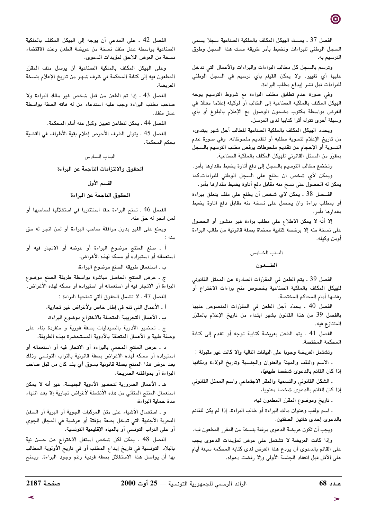الفصل 37 . يمسك الهيكل المكلف بالملكية الصناعية سجلا يسمى السجل الوطنى للبراءات وتضبط بأمر طريقة مسك هذا السجل وطرق الترسيم به.

وترسم بالسجل كل مطالب البراءات والبراءات والأعمال التي تدخل عليها أي تغيير. ولا يمكن القيام بأي ترسيم في السجل الوطني للبراءات قبل نشر إيداع مطلب البراءة.

وفي صورة عدم تطابق مطلب البراءة مع شروط الترسيم يوجه الهيكل المكلف بالملكية الصناعية إلى الطالب أو لوكيله إعلاما معللا في الغرض بواسطة مكتوب مضمون الوصول مع الإعلام بالبلوغ أو بأى وسيلة أخرى تترك أثرا كتابيا لدى المرسل.

ويحدد الهيكل المكلف بالملكية الصناعية للطالب أجل شهر يبتدىء من تاريخ الإعلام لتسوية مطلبه أو لتقديم ملحوظاته. وفي صورة عدم التسوية أو الإحجام عن تقديم ملحوظات يرفض مطلب الترسيم بالسجل بمقرّر من الممثل القانوني للهيكل المكلف بالملكية الصناعية.

وتخضع مطالب الترسيم بالسجل إلى دفع أتاوة يضبط مقدارها بأمر. ويمكن لأي شخص ان يطلع على السجل الوطني للبراءات.كما يمكن له الحصول على نسخ منه مقابل دفع أتاوة يضبط مقدارها بأمر.

الفــصل 38 . يمكن لاى شخص أن يطلع على ملف يتعلق ببراءة أو بمطلب براءة وان يحصل على نسخة منه مقابل دفع اتاوة يضبط مقدارها بأمر.

إلا أنه لا يمكن الاطلاع على مطلب براءة غير منشور أو الحصول على نسخة منه إلا برخصة كتابية ممضاة بصفة قانونية من طالب البراءة أومن وكيله.

#### الباب الخامس

#### الطعون

الفصل 39 ـ يتم الطعن في المقرّرات الصادرة عن الممثل القانونى للهيكل المكلف بالملكية الصناعية بخصوص منح براءات الاختراع أو رفضها أمام المحاكم المختصة.

الفصل 40 . يحدِّد أجل الطعن في المقرِّرات المنصوص عليها بالفصل 39 من هذا القانون بشهر ابتداء من تاريخ الإعلام بالمقرّر المتنازع فيه.

الفصل 41 ـ يتم الطعن بعريضة كتابية توجه أو تقدم إلى كتابة المحكمة المختصة.

وتشتمل العريضة وجوبا على البيانات التالية وإلا كانت غير مقبولة :

ـ الاسم واللقب والمهنة والعنوان والجنسية وتاريخ الولادة ومكانها إذا كان القائم بالدعوى شخصا طبيعيًا،

. الشكل القانوني والتسمية والمقر الاجتماعي واسم الممثل القانوني إذا كان القائم بالدعوى شخصا معنويا،

ـ تاريخ وموضوع المقرّر المطعون فيه،

ـ اسم ولقب وعنوان مالك البراءة أو طالب البراءة، إذا لم يكن للقائم بالدعوى إحدى هاتين الصفتين.

ويجب أن تكون عريضة الدعوى مرفقة بنسخة من المقرر المطعون فيه. وإذا كانت العريضة لا تشتمل على عرض لمؤيدات الدعوى يجب على القائم بالدعوى أن يودع هذا العرض لدى كتابة المحكمة سبعة أيام على الأقل قبل انعقاد الجلسة الأولى وإلا رفضت دعواه.

الفصل 42 ـ على المدعى أن يوجه إلى الهيكل المكلف بالملكية الصناعية بواسطة عدل منفذ نسخة من عريضة الطعن وعند الاقتضاء نسخة من العرض اللاحق لمؤيدات الدعوى.

وعلى الهيكل المكلف بالملكية الصناعية أن يرسل ملف المقرّر المطعون فيه إلى كتابة المحكمة في ظرف شهر من تاريخ الإعلام بنسخة العريضة.

الفصل 43 . إذا تم الطعن من قبل شخص غير مالك البراءة ولا صاحب مطلب البراءة وجب عليه استدعاء من له هاته الصفة بواسطة عدل منفذ.

الفصل 44 ـ يمكن للطاعن تعيين وكيل عنه أمام المحكمة.

الفصل 45 . يتولى الطرف الأحرص إعلام بقية الأطراف في القضيّة بحكم المحكمة.

#### البساب السادس

الحقوق والالتزامات الناجمة عن البراءة

#### القسم الأول

#### الحقوق الناجمة عن البراءة

الفصل 46 . تمنح البراءة حقا استئثاريا في استغلالها لصاحبها أو لمن انجر له حق منه.

ويمنع على الغير بدون موافقة صاحب البراءة أو لمن انجر له حق منه :

أ . صنع المنتج موضوع البراءة أو عرضه أو الاتجار فيه أو استعماله أو استيراده أو مسكه لهذه الأغراض،

ب ـ استعمال طريقة الصنع موضوع البراءة،

ج ـ عرض المنتج الحاصل مباشرة بواسطة طريقة الصنع موضوع البراءة أو الاتجار فيه أو استعماله أو استيراده أو مسكه لهذه الأغراض.

الفصل 47 ـ لا تشمل الحقوق التي تمنحها البراءة :

أ . الأعمال التي تتم في إطار خاص ولأغراض غير تجارية،

ب ـ الأعمال التجريبية المتصلة بالاختراع موضوع البراءة،

ج ـ تحضير الأدوية بالصيدليات بصفة فورية و منفردة بناء على وصفة طبية و الأعمال المتعلقة بالأدوية المستحضرة بهذه الطريقة،

د . عرض المنتج المحمي بالبراءة أو الاتجار فيه أو استعماله أو استيراده أو مسكه لهذه الاغراض بصفة قانونية بالتراب التونسى وذلك بعد عرض هذا المنتج بصفة قانونية بسوق أي بلد كان من قبل صاحب البراءة أو بموافقته الصريحة،

هـ . الأعمال الضرورية لتحضير الأدوية الجنيسة. غير أنه لا يمكن استعمال المنتج المتأتي من هذه الأنشطة لأغراض تجارية إلا بعد انتهاء مدة حماية البراءة،

و . استعمال الأشياء على متن المركبات الجوية أو البرية أو السفن البحرية الأجنبية التي تدخل بصفة مؤقتة أو عرضية في المجال الجوي أو على التراب التونسي أو بالمياه الإقليمية التونسية.

الفصل 48 . يمكن لكل شخص استغل الاختراع عن حسن نية بالبلاد التونسية في تاريخ إيداع المطلب أو في تاريخ الأولوية المطالب بها أن يواصل هذا الاستغلال بصفة فردية رغم وجود البراءة. ويمنح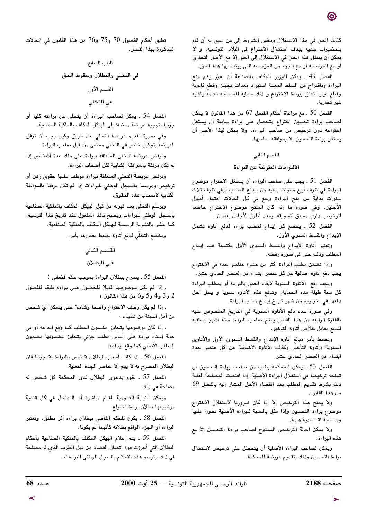كذلك الحق في هذا الاستغلال وبنفس الشروط إلى من سبق له أن قام بتحضيرات جدية بهدف استغلال الاختراع في البلاد التونسية. و لا يمكن أن ينتقل هذا الحق في الاستغلال إلى الغير إلا مع الأصل التجاري أو مع المؤسسة أو مع الجزء من المؤسسة التي يرتبط بها هذا الحق.

الفصل 49 . يمكن للوزير المكلف بالصناعة أن يقرّر رغم منح البراءة وباقتراح من السلط المعنية استيراد معدات تجهيز وقطع ثانوية وقطع غيار تتعلق ببراءة الاختراع و ذلك حماية للمصلحة العامة ولغاية غير تجارية

الفصل 50 ـ مع مراعاة أحكام الفصل 67 من هذا القانون لا يمكن لصاحب براءة تحسين اختراع متحصل على براءة سابقة أن يستغل اختراعه دون ترخيص من صاحب البراءة. ولا يمكن لهذا الأخير أن يستغل براءة التحسين إلا بموافقة صاحبها.

# القسم الثاني

## الالتزامات المترتبة عن البراءة

الفصل 51 ـ يجب على صاحب البراءة أن يستغل الاختراع موضوع البراءة في ظرف أربع سنوات بداية من إيداع المطلب أوفي ظرف ثلاث سنوات بداية من منح البراءة ويقع في كل الحالات اعتماد أطول الأجلين. وفي صورة ما إذا كان المنتج موضوع الاختراع خاضعا لترخيص اداري مسبق لتسويقه، يمدد أطول الأجلين بعامين.

الفصل 52 . يخضع كل إيداع لمطلب براءة لدفع أتاوة تشمل الإيداع والقسط السنوى الأول.

وتعتبر أتاوة الإيداع والقسط السنوى الأول مكتسبة عند إيداع المطلب وذلك حتى في صورة رفضه.

وإذا تضمن مطلب البراءة اكثر من عشرة عناصر جدة في الاختراع يجب دفع أتاوة اضافية عن كل عنصر ابتداء من العنصر الحادي عشر.

ويجب دفع الأتاوة السنوية لابقاء العمل بالبراءة أو بمطلب البراءة كل سنة طيلة مدة الحماية. وتدفع هذه الأتاوة سنويا و يحل اجل دفعها في آخر يوم من شهر تاريخ إيداع مطلب البراءة.

وفي صورة عدم دفع الأتاوة السنوية في التاريخ المنصوص عليه بالفقرة الرابعة من هذا الفصل يمنح صاحب البراءة ستة اشهر إضافية للدفع مقابل خلاص أتاوة التأخير.

وتضبط بأمر مبالغ أتاوة الإيداع والقسط السنوي الأول والأتاوى السنوية وأتاوة التأخير وكذلك الأتاوة الاضافية عن كل عنصر جدة ابتداء من العنصر الحادي عشر.

الفصل 53 . يمكن للمحكمة بطلب من صاحب براءة التحسين أن تمنحه ترخيصا في استغلال البراءة الأصلية، إذا اقتضت المصلحة العامة ذلك بشرط تقديم المطلب بعد انقضاء الأجل المشار إليه بالفصل 69 من هذا القانون.

ولا يمنح هذا الترخيص إلا إذا كان ضروريا لاستغلال الاختراع موضوع براءة التحسين وإذا مثل بالنسبة للبراءة الأصلية تطورا تقنيا ومصلحة اقتصادية هامة.

ولا يمكن احالة الترخيص الممنوح لصاحب براءة التحسين إلا مع هذه البراءة.

ويمكن لصاحب البراءة الأصلية أن يتحصل على ترخيص لاستغلال براءة التحسين وذلك بتقديم عريضة للمحكمة.

تطبق أحكام الفصول 70 و75 و76 من هذا القانون في الحالات المذكورة بهذا الفصل.

> الباب السابع في التخلي والبطلان وسقوط الحق القسم الأول في التخلي

الفصل 54 . يمكن لصاحب البراءة أن يتخلى عن براءته كليا أو جزئيا بتوجيه عريضة ممضاة إلى الهيكل المكلف بالملكية الصناعية.

وفي صورة تقديم عريضة التخلي عن طريق وكيل يجب أن ترفق العريضة بتوكيل خاص في التخلي ممضى من قبل صاحب البراءة.

وترفض عريضة التخلي المتعلقة ببراءة على ملك عدة أشخاص إذا لم تكن مرفقة بالموافقة الكتابية لكل أصحاب البراءة.

وترفض عريضة التخلي المتعلقة ببراءة موظف عليها حقوق رهن أو ترخيص ومرسمة بالسجل الوطنى للبراءات إذا لم تكن مرفقة بالموافقة الكتابية لأصحاب هذه الحقوق.

ويرسَم التخلَّى بعد قبوله من قبل الهيكل المكلف بالملكية الصناعية بالسجل الوطني للبراءات ويصبح نافذ المفعول عند تاريخ هذا الترسيم، كما ينشر بالنشرية الرسمية للهيكل المكلف بالملكية الصناعية.

ويخضع التخلّي لدفع أتاوة يضبط مقدارها بأمر.

القسم الثاني في البطلان

الفصل 55 ـ يصرح ببطلان البراءة بموجب حكم قضائي :

. إذا لم يكن موضوعها قابلا للحصول على براءة طبقا للفصول 2 و3 و4 و5 و6 من هذا القانون ؛

. إذا لم يكن وصف الاختراع واضحا وشاملا حتى يتمكن أيّ شخص من أهل المهنة من تنفيذه ؛

. إذا كان موضوعها يتجاوز مضمون المطلب كما وقع ايداعه أو في حالة إسناد براءة على أساس مطلب جزئي يتجاوز مضمونها مضمون المطلب الأصلي كما وقع ايداعه.

الفصل 56 . إذا كانت أسباب البطلان لا تمس بالبراءة إلا جزئيا فان البطلان المصرح به لا يهم إلا عناصر الجدة المعنية.

الفصل 57 . يقوم بدعوى البطلان لدى المحكمة كل شخص له مصلحة في ذلك.

ويمكن للنيابة العمومية القيام مباشرة أو التداخل في كل قضية موضوعها بطلان براءة اختراع.

الفصل 58 . يكون للحكم القاضي ببطلان براءة أثر مطلق. وتعتبر البراءة أو الجزء الواقع بطلانه كأنهما لم يكونا.

الفصل 59 . يتم إعلام الهيكل المكلف بالملكية الصناعية بأحكام البطلان التي أحرزت قوة اتصال القضاء من قبل الطرف الذي له مصلحة في ذلك وترسم هذه الاحكام بالسجل الوطني للبراءات.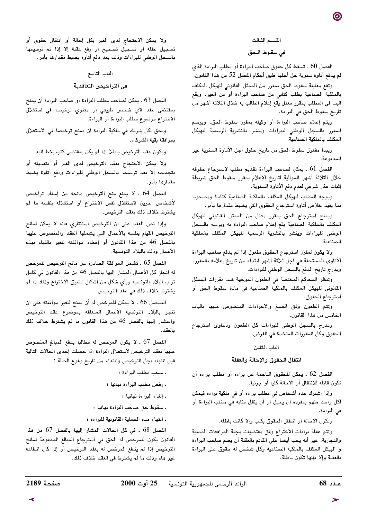#### القسم الثـالث

#### في سقوط الحق

الفصل 60 ـ تسقط كل حقوق صاحب البراءة أو مطلب البراءة الذي لم يدفع أتاوة سنوية حل أجلها طبق أحكام الفصل 52 من هذا القانون.

وتقع معاينة سقوط الحق بمقرر من الممثل القانوني للهيكل المكلف بالملكية الصناعية بطلب كتابى من صاحب البراءة أو من الغير. ويقع البت في المطلب بمقرر معلل يقع إعلام الطالب به خلال الثلاثة أشهر من تاريخ سقوط الحق في البراءة.

ويتم إعلام صاحب البراءة أو وكيله بمقرر سقوط الحق. ويرسم المقرر بالسجل الوطني للبراءات وينشر بالنشرية الرسمية للهيكل المكلف بالملكية الصناعية.

ويبدأ مفعول سقوط الحق من تاريخ حلول أجل الأتاوة السنوية غير المدفوعة.

الفصل 61 . يمكن لصاحب البراءة تقديم مطلب لاسترجاع حقوقه خلال الثلاثة أشهر الموالية لتاريخ الإعلام بمقرر سقوط الحق شريطة إثبات عذر شرعي لعدم دفع الأتاوة السنوية.

ويوجه المطلب للهيكل المكلف بالملكية الصناعية كتابيا ومصحوبا بما يفيد خلاص أتاوة استرجاع الحقوق التي يضبط مقدارها بأمر.

ويمنح استرجاع الحق بمقرر معلل من الممثل القانونى للهيكل المكلف بالملكية الصناعية يقع إعلام صاحب البراءة به ويرسم بالسجل الوطني للبراءات وينشر بالنشرية الرسمية للهيكل المكلف بالملكية

ولا يكون لمقرّر استرجاع الحقوق مفعول إذا لم يدفع صاحب البراءة الأتاوى المستحقة في اجل ثلاثة أشهر ابتداء من تاريخ إعلامه بالمقرر. ويدرج تاريخ الدفع بالسجل الوطني للبراءات.

وتنظر المحاكم المختصة في الطعون الموجهة ضد مقررات الممثل القانوني للهيكل المكلف بالملكية الصناعية في مادة سقوط الحق أو استرجاع الحقوق.

وتتم الطعون وفق الصيغ والاجراءات المنصوص عليها بالباب الخامس من هذا القانون.

وتدرج بالسجل الوطني للبراءات كل الطعون ودعاوى استرجاع الحقوق وكل المقررات المتخذة في الغرض.

#### الباب الثامن

### انتقال الحقوق والإحالة والعقلة

الفصل 62 . يمكن للحقوق الناجمة عن براءة أو مطلب براءة أن تكون قابلة للانتقال أو الاحالة كليا أو جزئيا.

وإذا اشترك عدة أشخاص في مطلب براءة أو في ملكية براءة فيمكن لكل واحد منهم بمفرده أن يحيل أو أن ينقل منابه في مطلب البراءة أو في البراءة.

وتكون الاحالة أو انتقال الحقوق بكتب وإلا كانت باطلة.

وتتم عقلة براءات الاختراع وفق مقتضيات مجلة المرافعات المدنية والتجارية. غير أنه يجب أيضا على القائم بالعقلة أن يعلم صاحب البراءة و الهيكل المكلف بالملكية الصناعية وكل شخص له حقوق على البراءة بالعقلة وإلا فإنها تكون باطلة.

ولا يمكن الاحتجاج لدى الغير بكل إحالة أو انتقال حقوق أو تسجيل عقلة أو تسجيل تصحيح أو رفع عقلة إلا إذا تم ترسيمها بالسجل الوطني للبراءات وذلك بعد دفع أتاوة يضبط مقدارها بأمر.

# الباب التاسع في التراخيص التعاقدية

الفصل 63 . يمكن لصاحب مطلب البراءة أو صاحب البراءة أن يمنح بمقتضى عقد لأي شخص طبيعي أو معنوي ترخيصا في استغلال الاختراع موضوع مطلب البراءة أو البراءة.

ويحق لكل شريك في ملكية البراءة ان يمنح ترخيصا في الاستغلال بموافقة بقية الشركاء.

ويكون عقد الترخيص باطلا إذا لم يكن بمقتضى كتب بخط اليد .

ولا يمكن الاحتجاج بعقد الترخيص لدى الغير أو بتعديله أو بتجديده إلا بعد ترسيمه بالسجل الوطنى للبراءات ودفع أتاوة يضبط مقدارها بأمر .

الفصل 64 . لا يمنع منح الترخيص مانحه من إسناد تراخيص لأشخاص آخرين لاستغلال نفس الاختراع أو استغلاله بنفسه ما لم يشترط خلاف ذلك بعقد الترخيص.

وإذا نص العقد على ان الترخيص استئثاري فانه لا يمكن لمانح الترخيص القيام بنفسه بالأعمال التى يشملها العقد والمنصوص عليها بالفصل 46 من هذا القانون أو إعطاء موافقته للغير بالقيام بهذه الأعمال وذلك بالبلاد التونسية.

الفصل 65 . تشمل الموافقة الصادرة عن مانح الترخيص للمرخص له انجاز كل الأعمال المشار إليها بالفصل 46 من هذا القانون في كامل تراب البلاد التونسية وبأي شكل من أشكال تطبيق الاختراع وذلك ما لم يشترط خلاف ذلك في عقد الترخيص.

الفــصل 66 . لا يمكن للمرخص له أن يمنح للغير موافقته على ان تنجز بالبلاد التونسية الأعمال المتعلقة بموضوع عقد الترخيص والمشار إليها بالفصل 46 من هذا القانون ما لم يشترط خلاف ذلك بالعقد .

الفصل 67 . لا يكون المرخص له مطالبا بدفع المبالغ المنصوص عليها بعقد الترخيص لاستغلال البراءة إذا حصلت إحدى الحالات التالية قبل انتهاء أجل الترخيص وابتداء من تاريخ وقوع الحالة :

- . سحب مطلب البراءة ؛
- . رفض مطلب البراءة نهائيا ؛
	- الغاء البراءة نهائيا ؛
- . سقوط حق صاحب البراءة نهائيا ؛
- . انتهاء مدة الحماية القانونية للبراءة ؛

الفصل 68 . في كل الحالات المشار إليها بالفصل 67 من هذا القانون يكون للمرخص له الحق في استرجاع المبالغ المدفوعة لمانح الترخيص إذا لم ينتفع المرخص له بعقد الترخيص أو إذا كان انتفاعه غير هام وذلك ما لم يشترط في العقد خلاف ذلك.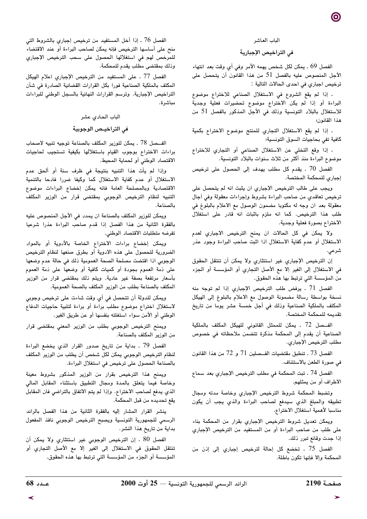#### الباب العاشر

### في التراخيص الإجبارية

الفصل 69 . يمكن لكل شخص يهمه الأمر وفي أي وقت بعد انتهاء الأجل المنصوص عليه بالفصل 51 من هذا القانون أن يتحصل على ترخيص اجباري في احدى الحالات التالية :

. إذا لم يقع الشروع في الاستغلال الصناعي للاختراع موضوع البراءة أو إذا لم يكن الاختراع موضوع تحضيرات فعلية وجدية للاستغلال بالبلاد التونسية وذلك في الأجل المذكور بالفصل 51 من هذا القانون؛

. إذا لم يقع الاستغلال التجاري للمنتج موضوع الاختراع بكمية كافية تفي بحاجيات السوق التونسية؛

. إذا وقع التخلي عن الاستغلال الصناعي أو التجاري للاختراع موضوع البراءة منذ أكثر من ثلاث سنوات بالبلاد التونسية.

الفصل 70 . يقدم كل مطلب يهدف إلى الحصول على ترخيص إجباري للمحكمة المختصة.

ويجب على طالب الترخيص الإجباري ان يثبت انه لم يتحصل على ترخيص تعاقدي من صاحب البراءة بشروط وإجراءات معقولة وفى أجال معقولة بعد ان وجه له مكتوبا مضمون الوصول مع الاعلام بالبلوغ في طلب هذا الترخيص. كما انه ملزم باثبات انه قادر على استغلال الاختراع بصورة فعلية وجدية.

ولا يمكن في كل الحالات ان يمنح الترخيص الاجباري لعدم الاستغلال أو عدم كفاية الاستغلال اذا اثبت صاحب البراءة وجود عذر شرعى.

إن الترخيص الإجباري غير استئثاري ولا يمكن أن تنتقل الحقوق في الاستغلال إلى الغير إلا مع الأصل التجاري أو المؤسسة أو الجزء من المؤسسة التي ترتبط بها هذه الحقوق.

الفصل 71 . يرفض طلب الترخيص الإجباري إذا لم توجه منه نسخة بواسطة رسالة مضمونة الوصول مع الاعلام بالبلوغ إلى الهيكل المكلف بالملكية الصناعية وذلك في أجل خمسة عشر يوما من تاريخ تقديمه للمحكمة المختصة.

الفــصل 72 . يمكن للممثل القانوني للهيكل المكلف بالملكية الصناعية أن يقدم إلى المحكمة مذكرة تتضمن ملاحظاته في خصوص مطلب الترخيص الإجباري.

الفصل 73 ـ تنطبق مقتضيات الفـحلين 71 و 72 من هذا القانون في صورة الطعن بالاستئناف.

الفصل 74 ـ تبت المحكمة في مطلب الترخيص الإجباري بعد سماع الاطراف أو من يمثلهم.

وتضبط المحكمة شروط الترخيص الإجباري وخاصة مدته ومجال تطبيقه والمبلغ الذي سيدفع لصاحب البراءة والذي يجب أن يكون مناسبا لأهمية استغلال الاختراع.

ويمكن تعديل شروط الترخيص الإجباري بقرار من المحكمة بناء على طلب من صاحب البراءة أو من المستفيد من الترخيص الإجباري إذا جدت وقائع تبرر ذلك.

الفصل 75 ـ تخضع كل إحالة لترخيص إجباري إلى إذن من المحكمة وإلا فإنها تكون باطلة.

الفصل 76 . إذا أخل المستفيد من ترخيص إجباري بالشروط التي منح على أساسها الترخيص فإنه يمكن لصاحب البراءة أو عند الاقتضاء للمرخص لهم في استغلالها الحصول على سحب الترخيص الإجباري وذلك بمقتضى مطلب يقدم للمحكمة.

الفصل 77 ـ على المستفيد من الترخيص الإجباري اعلام الهيكل المكلف بالملكية الصناعية فورا بكل القرارات القضائية الصادرة في شأن التراخيص الإجبارية. وترسم القرارات النهائية بالسجل الوطني للبراءات مباشرة.

# الباب الحادي عشر

## فى التراخيـص الوجوبية

الفـــصل 78 . يمكن للوزير المكلف بالصناعة توجيه تنبيه لاصحاب براءات الاختراع بوجوب القيام باستغلالها بكيفية تستجيب لحاجيات الاقتصاد الوطني أو لحماية المحيط.

وإذا لم يأت هذا التنبيه بنتيجة في ظرف سنة أو ألحق عدم الاستغلال أو عدم كفاية الاستغلال كما وكيفا ضررا فادحا بالتنمية الاقتصادية وبالمصلحة العامة فانه يمكن إخضاع البراءات موضوع التنبيه لنظام الترخيص الوجوبي بمقتضى قرار من الوزير المكلف بالصناعة.

ويمكن للوزير المكلف بالصناعة ان يمدد في الأجل المنصوص عليه بالفقرة الثانية من هذا الفصل إذا قدم صاحب البراءة عذرا شرعيا تفرضه متطلبات الاقتصاد الوطني.

ويمكن إخضاع براءات الاختراع الخاصة بالأدوية أو بالمواد الضرورية للحصول على هذه الادوية أو بطرق صنعها لنظام الترخيص الوجوبي اذا اقتضت مصلحة الصحة العمومية ذلك في حالة عدم وضعها على ذمة العموم بجودة أو كميات كافية أو وضعها على ذمّة العموم بأسعار مرتفعة بصفة غير عادية. ويتم ذلك بمقتضى قرار من الوزير المكلف بالصناعة بطلب من الوزير المكلف بالصحة العمومية.

ويمكن للدولة أن تتحصل في أي وقت شاءت على ترخيص وجوبي لاستغلال اختراع موضوع مطلب براءة أو براءة لتلبية حاجيات الدفاع الوطني أو الأمن سواء استغلته بنفسها أو عن طريق الغير.

ويمنح الترخيص الوجوبي بطلب من الوزير المعني بمقتضى قرار من الوزير المكلف بالصناعة.

الفصل 79 ـ بداية من تاريخ صدور القرار الذي يخضع البراءة لنظام الترخيص الوجوبي يمكن لكل شخص أن يطلب من الوزير المكلف بالصناعة الحصول على ترخيص في استغلال البراءة.

ويمنح هذا الترخيص بقرار من الوزير المذكور بشروط معينة وخاصة فيما يتعلق بالمدة ومجال التطبيق باستثناء المقابل المالى الذي يدفع لصاحب الاختراع. وإذا لم يتم الاتفاق بالتراضي فان المقابل يقع تحديده من قبل المحكمة.

ينشر القرار المشار إليه بالفقرة الثانية من هذا الفصل بالرائد الرسمي للجمهورية التونسية ويصبح الترخيص الوجوبي نافذ المفعول بداية من تاريخ هذا النشر.

الفصل 80 . إن الترخيص الوجوبي غير استئثاري ولا يمكن أن تنتقل الحقوق فى الاستغلال إلى الغير إلا مع الأصل التجاري أو المؤسسة أو الجزء من المؤسسة التي ترتبط بها هذه الحقوق.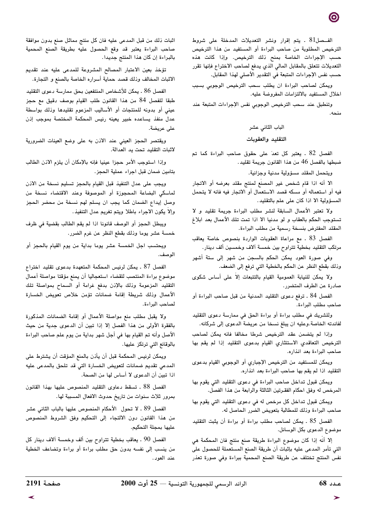الفـصل81 . يتم إقرار ونشر التعديلات المدخلة على شروط الترخيص المطلوبة من صاحب البراءة أو المستفيد من هذا الترخيص حسب الإجراءات الخاصة بمنح ذلك الترخيص. وإذا كانت هذه التعديلات تتعلق بالمقابل المالي الذي يدفع لصاحب الاختراع فإنها تقرر حسب نفس الإجراءات المتبعة في التقدير الأصلي لهذا المقابل.

ويمكن لصاحب البراءة ان يطلب سحب الترخيص الوجوبي بسبب اخلال المستفيد بالالتزامات المفروضة عليه.

وتنطبق عند سحب الترخيص الوجوبي نفس الإجراءات المتبعة عند  $4 \sim 14$ 

### الباب الثاني عشر

### التقليد والعقوبات

الفصل 82 . يعتبر كل تعدّ على حقوق صاحب البراءة كما تم ضبطها بالفصل 46 من هذا القانون جريمة تقليد.

ويتحمل المقلد مسؤولية مدنية وجزائية.

الا أنه اذا قام شخص غير المصنع لمنتج مقلد بعرضه أو الاتجار فيه أو استعماله أو مسكه قصد الاستعمال أو الاتجار فيه فانه لا يتحمل المسؤولية الا اذا كان على علم بالتقليد.

ولا تعتبر الأعمال السابقة لنشر مطلب البراءة جريمة تقليد و لا تستوجب الحكم بالعقاب و لو مدنيا الا اذا تمت تلك الأعمال بعد ابلاغ المقلد المفترض بنسخة رسمية من مطلب البراءة.

الفصل 83 . مع مراعاة العقوبات الواردة بنصوص خاصة يعاقب مرتكب التقليد بخطية تتراوح بين خمسة آلاف وخمسين ألف دينار.

وفي صورة العود يمكن الحكم بالسجن من شهر إلى ستة أشهر وذلك بقطع النظر عن الحكم بالخطية التي ترفع إلى الضعف.

ولا يمكن للنيابة العمومية القيام بالتتبعات إلاّ على أساس شكوى صادرة عن الطرف المتضرر.

الفصل 84 ـ ترفع دعوى التقليد المدنية من قبل صاحب البراءة أو صاحب مطلب البراءة.

وللشريك في مطلب براءة أو براءة الحق في ممارسة دعوى التقليد لفائدته الخاصة.وعليه ان يبلغ نسخا من عريضة الدعوى إلى شركائه.

وإذا لم يتضمن عقد الترخيص شرطا مخالفا فانه يمكن لصاحب الترخيص التعاقدي الاستئثاري القيام بدعوى التقليد إذا لم يقم بها صاحب البراءة بعد انذاره.

ويمكن للمستفيد من الترخيص الإجباري أو الوجوبي القيام بدعوى التقليد اذا لم يقم بها صاحب البراءة بعد انذاره.

ويمكن قبول تداخل صاحب البراءة في دعوى التقليد التي يقوم بها المرخص له وفق احكام الفقـرتين الثالثة والرابعة من هذا الفصل.

ويمكن قبول تداخل كل مرخص له في دعوى التقليد التي يقوم بها صاحب البراءة وذلك للمطالبة بتعويض الضرر الحاصل له.

الفصل 85 . يمكن لصاحب مطلب براءة أو براءة أن يثبت التقليد موضوع الدعوى بكل الوسائل.

إلا أنَّه إذا كان موضوع البراءة طريقة صنع منتج فان المحكمة هي التي تأمر المدعى عليه بإثبات أن طريقة الصنع المستعملة للحصول على نفس المنتج تختلف عن طريقة الصنع المحمية ببراءة وفي صورة تعذر

اثبات ذلك من قبل المدعى عليه فان كل منتج مماثل صنع بدون موافقة صاحب البراءة يعتبر قد وقع الحصول عليه بطريقة الصنع المحمية بالبراءة إن كان هذا المنتج جديدا.

تؤخذ بعين الاعتبار المصالح المشروعة للمدعى عليه عند تقديم الاثبات المخالف وذلك قصد حماية أسراره الخاصة بالصنع و التجارة.

الفصل 86 . يمكن للأشخاص المنتفعين بحق ممارسة دعوى التقليد طبقا للفصل 84 من هذا القانون طلب القيام بوصف دقيق مع حجز عينى أو بدونه للمنتجات أو الأساليب المزعوم تقليدها وذلك بواسطة عدل منفذ يساعده خبير يعينه رئيس المحكمة المختصة بموجب إذن على عريضة.

ويقتصر الحجز العيني عند الاذن به على وضع العينات الضرورية لاثبات التقليد تحت يد العدالة.

وإذا استوجب الأمر حجزا عينيا فإنه بالإمكان أن يلزم الاذن الطالب بتامين ضمان قبل اجراء عملية الحجز.

ويجب على عدل التنفيذ قبل القيام بالحجز تسليم نسخة من الاذن لماسكي البضاعة المحجوزة أو الموصوفة وعند الاقتضاء نسخة من وصل إيداع الضمان كما يجب ان يسلم لهم نسخة من محضر الحجز وإلاَّ يكون الاجراء باطلا ويتم تغريم عدل التنفيذ.

ويبطل الحجز أو الوصف قانونا اذا لم يقم الطالب بقضية في ظرف خمسة عشر يوما وذلك بقطع النظر عن غرم الضرر.

ويحتسب اجل الخمسة عشر يوما بداية من يوم القيام بالحجز أو الوصف.

الفصل 87 . يمكن لرئيس المحكمة المتعهدة بدعوى تقليد اختراع موضوع براءة المنتصب للقضاء استعجاليا أن يمنع مؤقتا مواصلة أعمال التقليد المزعومة وذلك بالإذن بدفع غرامة أو السماح بمواصلة تلك الأعمال وذلك شريطة إقامة ضمانات تؤمن خلاص تعويض الخسارة لصاحب البراءة.

ولا يقبل مطلب منع مواصلة الأعمال أو إقامة الضمانات المذكورة بالفقرة الأولى من هذا الفصل إلا إذا تبين أن الدعوى جدية من حيث الأصل وأنه تم القيام بها في أجل شهر بداية من يوم علم صاحب البراءة بالوقائع التي ترتكز عليها.

ويمكن لرئيس المحكمة قبل أن يأذن بالمنع المؤقت أن يشترط على المدعي تقديم ضمانات لتعويض الخسارة التي قد تلحق بالمدعى عليه اذا تبين أن الدعوى لا أساس لها من الصحة.

الفصل 88 ـ تسقط دعاوى التقليد المنصوص عليها بهذا القانون بمرور ثلاث سنوات من تاريخ حدوث الافعال المسببة لها.

الفصل 89 ـ لا تحول الأحكام المنصوص عليها بالباب الثاني عشر من هذا القانون دون الالتجاء إلى التحكيم وفق الشروط المنصوص عليها بمجلة التحكيم.

الفصل 90 ـ يعاقب بخطية تتراوح بين ألف وخمسة آلاف دينار كل من ينسب إلى نفسه بدون حق مطلب براءة أو براءة وتضاعف الخطية عند العود.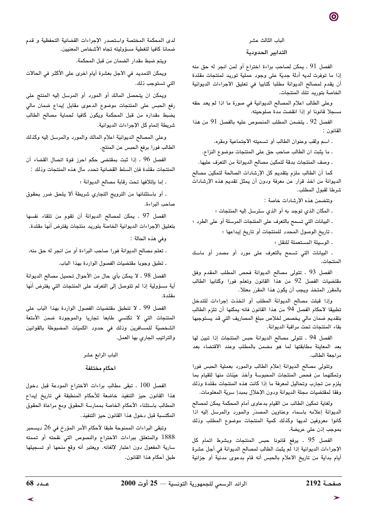#### الباب الثالث عشر

### التدابير الحدودية

الفصل 91 . يمكن لصاحب براءة اختراع أو لمن انجر له حق منه إذا ما توفرت لديه أدلة جديّة على وجود عملية توريد لمنتجات مقلدة أن يقدم لمصالح الديوانة مطلبا كتابيا في تعليق الاجراءات الديوانية الخاصة بتوريد تلك المنتجات.

وعلى الطالب اعلام المصالح الديوانية في صورة ما اذا لم يعد حقه مسحلا قانونا او اذا انقضت مدة صلوحته.

الفصل 92 . يتضمن المطلب المنصوص عليه بالفصل 91 من هذا القانون :

. اسم ولقب وعنوان الطالب أو تسميته الاجتماعية ومقره.

. ما يثبت ان الطالب صاحب حق على المنتجات موضوع النزاع.

. وصف المنتجات بدقة لتمكين مصالح الديوانة من التعرّف عليها.

كما أن الطالب ملزم بتقديم كل الإرشادات الصالحة لتمكين مصالح الديوانة من اخذ قرار عن معرفة ودون أن يمثل تقديم هذه الإرشادات شرطا لقبول المطلب.

وتتضمن هذه الإرشادات خاصة :

ـ المكان الذي توجد به أو الذي سترسل إليه المنتجات ؛

. البيانات التي تسمح بالتعرف على المنتجات المرسلة أو على الطرد ؛

. تاريخ الوصول المحدد للمنتجات أو تاريخ إيداعها ؛

. الوسيلة المستعملة للنقل ؛

- البيانات التي تسمح بالتعرف على مورد أو مصدر أو ماسك المنتحات.

الفصل 93 . تتولى مصالح الديوانة فحص المطلب المقدم وفق مقتضيات الفصل 92 من هذا القانون وتعلم فورا وكتابيا الطالب بالمقرِّر المتخذ ويجب أن يكون هذا المقرِّر معللا.

وإذا قبلت مصالح الديوانة المطلب أو اتخذت إجراءات للتدخل تطبيقا لاحكام الفصل 94 من هذا القانون فانه يمكنها أن تلزم الطالب بتقديم ضمان مالي يخصص لخلاص مبلغ المصاريف التي قد يستوجبها بقاء المنتجات تحت مراقبة الديوانة.

الفصل 94 . تتولى مصالح الديوانة حبس المنتجات إذا تبين لها بعد المعاينة مطابقتها لما هو مضمن بالمطلب وعند الاقتضاء بعد مراجعة الطالب.

وتتولى مصالح الديوانة إعلام الطالب والمورد بعملية الحبس فورا وتمكنهما من فحص المنتجات المحبوسة وأخذ عيّنات منها للقيام بما يلزم من تجارب وتحاليل لمعرفة ما إذا كانت هذه المنتجات مقلدة وذلك وفقا لمقتضيات مجلة الديوانة ودون الإخلال بمبدإ سرية المعلومات.

ولغاية تمكين الطالب من القيام بدعاوى أمام المحكمة يمكن لمصالح الديوانة إعلامه باسماء وعناوين المصدر والمورد والمرسل إليه اذا كانوا معروفين لديها وكذلك كمية المنتجات موضوع المطلب وذلك بموجب إذن على عريضة.

الفصل 95 . يرفع قانونا حبس المنتجات وبشرط اتمام كل الإجراءات الديوانية إذا لم يثبت الطالب لمصالح الديوانة في أجل عشرة أيام بداية من تاريخ الاعلام بالحبس أنه قام بدعوى مدنية أو جزائية

لدى المحكمة المختصة واستصدر الإجراءات القضائية التحفظية و قدم ضمانا كافيا لتغطية مسؤوليته تجاه الأشخاص المعنيين.

ويتم ضبط مقدار الضمان من قبل المحكمة.

ويمكن التمديد في الاجل بعشرة أيام اخرى على الأكثر في الحالات التي تستوجب ذلك.

ويمكن ان يتحصل المالك أو المورد أو المرسل إليه المنتج على رفع الحبس على المنتجات موضوع الدعوى مقابل إيداع ضمان مالى يضبط مقداره من قبل المحكمة ويكون كافيا لحماية مصالح الطالب شريطة إتمام كل الإجراءات الديوانية.

وعلى المصالح الديوانيّة اعلام المالك والمورد والمرسل إليه وكذلك الطالب فورا برفع الحبس عن المنتج.

الفصل 96 . إذا ثبت بمقتضى حكم احرز قوة اتصال القضاء أن المنتجات مقلَّدة فإن السلط القضائية تحدد مآل هذه المنتجات وذلك :

. إما بإتلافها تحت رقابة مصالح الديوانة ؛

. أو باستثنائها من الترويج التجاري شريطة ألا يلحق ضرر بحقوق صاحب البراءة.

الفصل 97 ـ يمكن لمصالح الديوانة أن تقوم من تلقاء نفسها بتعليق الإجراءات الديوانية الخاصة بتوريد منتجات يفترض أنها مقلدة.

وفي هذه الحالة :

. تعلم مصالح الديوانة فورا صاحب البراءة أو من انجر له حق منه،

ـ تطبق وجوبا مقتضيات الفصول الواردة بهذا الباب.

الفصل 98 . لا يمكن بأي حال من الأحوال تحميل مصالح الديوانة أية مسؤولية إذا لم تتوصل إلى التعرَف على المنتجات التى يفترض أنّها مقلّدة.

الفصل 99 ـ لا تنطبق مقتضيات الفصول الواردة بهذا الباب على المنتجات التي لا تكتسي طابعا تجاريا والموجودة ضمن الأمتعة الشخصية للمسافرين وذلك فى حدود الكميات المضبوطة بالقوانين والتراتيب الجاري بها العمل.

# الباب الرابع عشر احكام مختلفة

الفصل 100 . تبقى مطالب براءات الاختراع المودعة قبل دخول هذا القانون حيز التنفيذ خاضعة للأحكام المنطبقة في تاريخ إيداع المطالب باستثناء الأحكام الخاصة بممارسة الحقوق ومع مراعاة الحقوق المكتسبة قبل دخول هذا القانون حيز التنفيذ.

وتبقى البراءات الممنوحة طبقا لأحكام الأمر المؤرخ في 26 ديسمبر 1888 والمتعلق ببراءات الاختراع والنصوص التي نقحته أو تممته سارية المفعول دون اعتبار لإلغائه. ويعتبر أنه وقع منحها أو تسجيلها طبق أحكام هذا القانون.